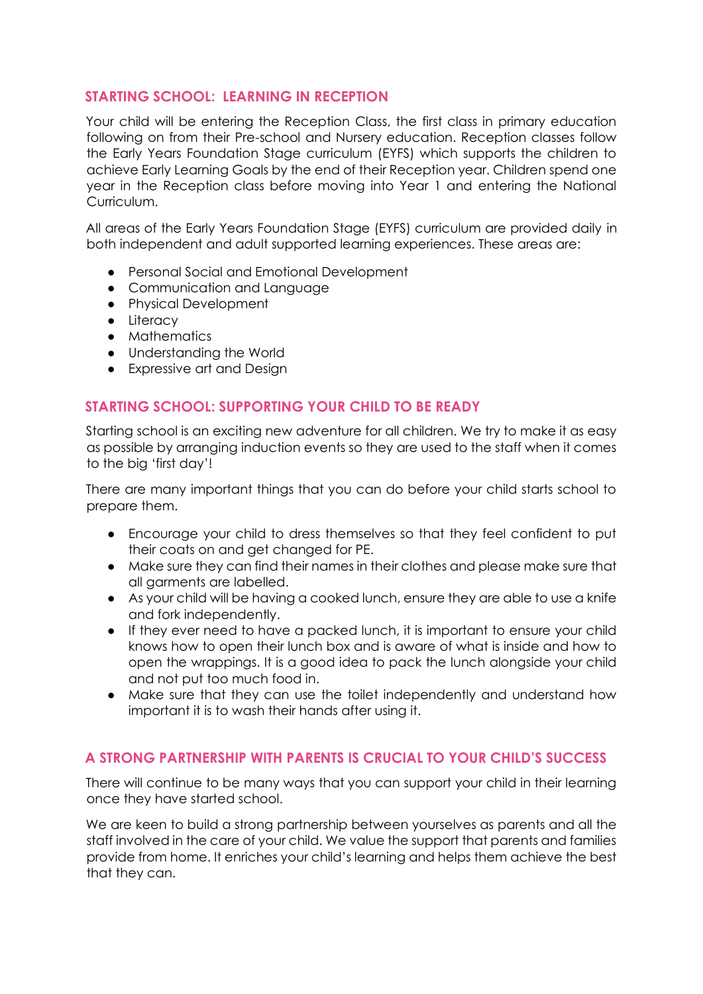### **STARTING SCHOOL: LEARNING IN RECEPTION**

Your child will be entering the Reception Class, the first class in primary education following on from their Pre-school and Nursery education. Reception classes follow the Early Years Foundation Stage curriculum (EYFS) which supports the children to achieve Early Learning Goals by the end of their Reception year. Children spend one year in the Reception class before moving into Year 1 and entering the National Curriculum.

All areas of the Early Years Foundation Stage (EYFS) curriculum are provided daily in both independent and adult supported learning experiences. These areas are:

- Personal Social and Emotional Development
- Communication and Language
- Physical Development
- Literacy
- Mathematics
- Understanding the World
- Expressive art and Design

### **STARTING SCHOOL: SUPPORTING YOUR CHILD TO BE READY**

Starting school is an exciting new adventure for all children. We try to make it as easy as possible by arranging induction events so they are used to the staff when it comes to the big 'first day'!

There are many important things that you can do before your child starts school to prepare them.

- Encourage your child to dress themselves so that they feel confident to put their coats on and get changed for PE.
- Make sure they can find their names in their clothes and please make sure that all garments are labelled.
- As your child will be having a cooked lunch, ensure they are able to use a knife and fork independently.
- If they ever need to have a packed lunch, it is important to ensure your child knows how to open their lunch box and is aware of what is inside and how to open the wrappings. It is a good idea to pack the lunch alongside your child and not put too much food in.
- Make sure that they can use the toilet independently and understand how important it is to wash their hands after using it.

# **A STRONG PARTNERSHIP WITH PARENTS IS CRUCIAL TO YOUR CHILD'S SUCCESS**

There will continue to be many ways that you can support your child in their learning once they have started school.

We are keen to build a strong partnership between yourselves as parents and all the staff involved in the care of your child. We value the support that parents and families provide from home. It enriches your child's learning and helps them achieve the best that they can.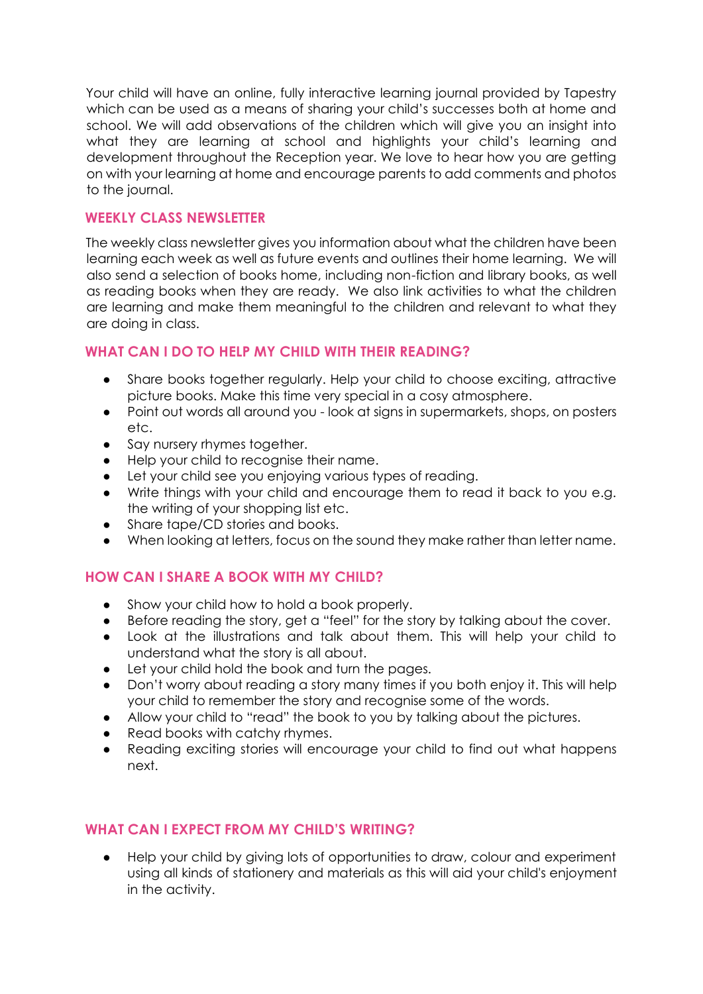Your child will have an online, fully interactive learning journal provided by Tapestry which can be used as a means of sharing your child's successes both at home and school. We will add observations of the children which will give you an insight into what they are learning at school and highlights your child's learning and development throughout the Reception year. We love to hear how you are getting on with your learning at home and encourage parents to add comments and photos to the journal.

#### **WEEKLY CLASS NEWSLETTER**

The weekly class newsletter gives you information about what the children have been learning each week as well as future events and outlines their home learning. We will also send a selection of books home, including non-fiction and library books, as well as reading books when they are ready. We also link activities to what the children are learning and make them meaningful to the children and relevant to what they are doing in class.

#### **WHAT CAN I DO TO HELP MY CHILD WITH THEIR READING?**

- Share books together regularly. Help your child to choose exciting, attractive picture books. Make this time very special in a cosy atmosphere.
- Point out words all around you look at signs in supermarkets, shops, on posters etc.
- Say nursery rhymes together.
- Help your child to recognise their name.
- Let your child see you enjoying various types of reading.
- Write things with your child and encourage them to read it back to you e.g. the writing of your shopping list etc.
- Share tape/CD stories and books.
- When looking at letters, focus on the sound they make rather than letter name.

# **HOW CAN I SHARE A BOOK WITH MY CHILD?**

- Show your child how to hold a book properly.
- Before reading the story, get a "feel" for the story by talking about the cover.
- Look at the illustrations and talk about them. This will help your child to understand what the story is all about.
- Let your child hold the book and turn the pages.
- Don't worry about reading a story many times if you both enjoy it. This will help your child to remember the story and recognise some of the words.
- Allow your child to "read" the book to you by talking about the pictures.
- Read books with catchy rhymes.
- Reading exciting stories will encourage your child to find out what happens next.

#### **WHAT CAN I EXPECT FROM MY CHILD'S WRITING?**

Help your child by giving lots of opportunities to draw, colour and experiment using all kinds of stationery and materials as this will aid your child's enjoyment in the activity.